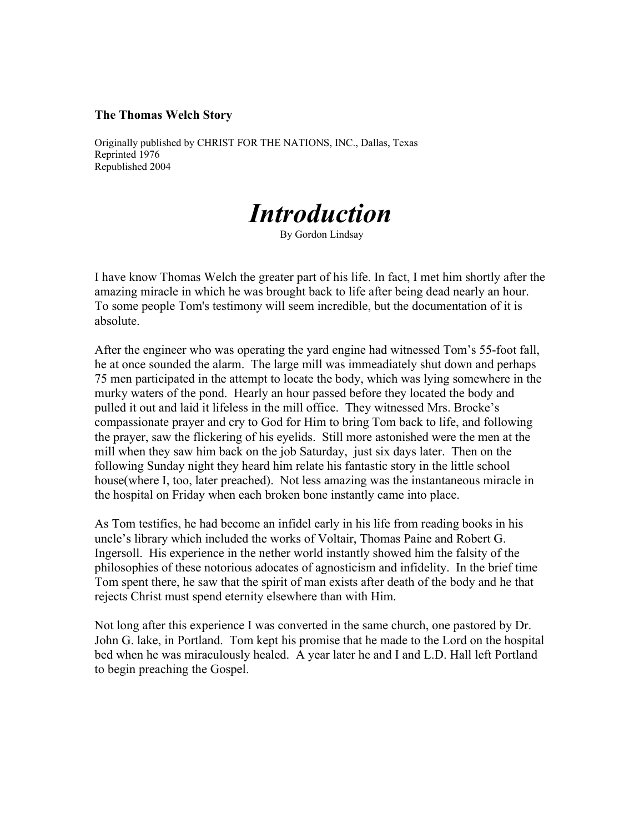#### **The Thomas Welch Story**

Originally published by CHRIST FOR THE NATIONS, INC., Dallas, Texas Reprinted 1976 Republished 2004



By Gordon Lindsay

I have know Thomas Welch the greater part of his life. In fact, I met him shortly after the amazing miracle in which he was brought back to life after being dead nearly an hour. To some people Tom's testimony will seem incredible, but the documentation of it is absolute.

After the engineer who was operating the yard engine had witnessed Tom's 55-foot fall, he at once sounded the alarm. The large mill was immeadiately shut down and perhaps 75 men participated in the attempt to locate the body, which was lying somewhere in the murky waters of the pond. Hearly an hour passed before they located the body and pulled it out and laid it lifeless in the mill office. They witnessed Mrs. Brocke's compassionate prayer and cry to God for Him to bring Tom back to life, and following the prayer, saw the flickering of his eyelids. Still more astonished were the men at the mill when they saw him back on the job Saturday, just six days later. Then on the following Sunday night they heard him relate his fantastic story in the little school house(where I, too, later preached). Not less amazing was the instantaneous miracle in the hospital on Friday when each broken bone instantly came into place.

As Tom testifies, he had become an infidel early in his life from reading books in his uncle's library which included the works of Voltair, Thomas Paine and Robert G. Ingersoll. His experience in the nether world instantly showed him the falsity of the philosophies of these notorious adocates of agnosticism and infidelity. In the brief time Tom spent there, he saw that the spirit of man exists after death of the body and he that rejects Christ must spend eternity elsewhere than with Him.

Not long after this experience I was converted in the same church, one pastored by Dr. John G. lake, in Portland. Tom kept his promise that he made to the Lord on the hospital bed when he was miraculously healed. A year later he and I and L.D. Hall left Portland to begin preaching the Gospel.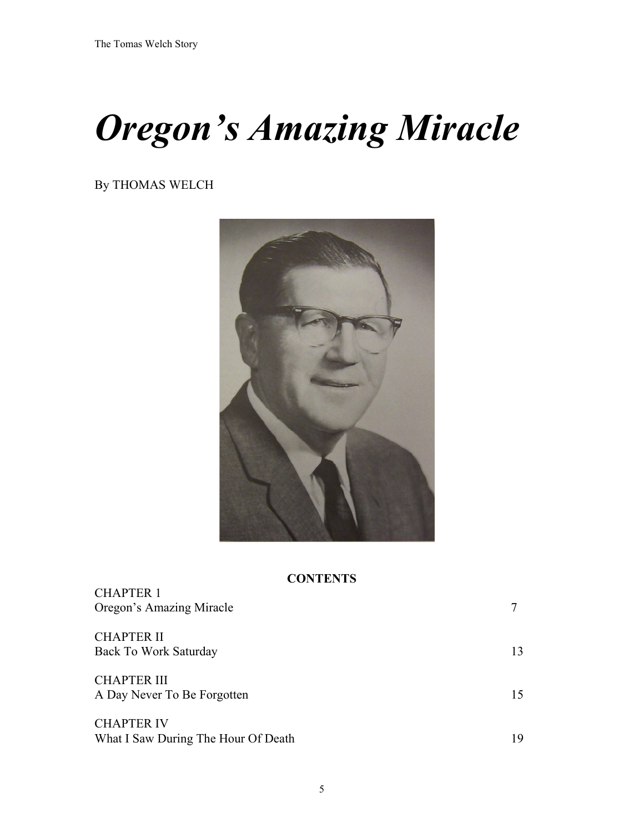# *Oregon's Amazing Miracle*

By THOMAS WELCH



### **CONTENTS**

| <b>CHAPTER 1</b><br>Oregon's Amazing Miracle             |    |
|----------------------------------------------------------|----|
| <b>CHAPTER II</b><br><b>Back To Work Saturday</b>        | 13 |
| <b>CHAPTER III</b><br>A Day Never To Be Forgotten        | 15 |
| <b>CHAPTER IV</b><br>What I Saw During The Hour Of Death | 19 |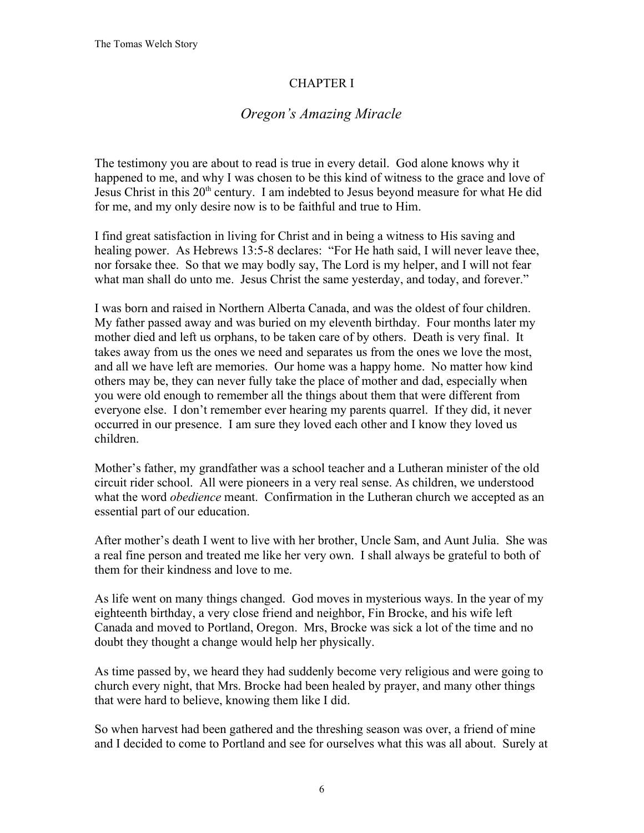#### CHAPTER I

### *Oregon's Amazing Miracle*

The testimony you are about to read is true in every detail. God alone knows why it happened to me, and why I was chosen to be this kind of witness to the grace and love of Jesus Christ in this  $20<sup>th</sup>$  century. I am indebted to Jesus beyond measure for what He did for me, and my only desire now is to be faithful and true to Him.

I find great satisfaction in living for Christ and in being a witness to His saving and healing power. As Hebrews 13:5-8 declares: "For He hath said, I will never leave thee, nor forsake thee. So that we may bodly say, The Lord is my helper, and I will not fear what man shall do unto me. Jesus Christ the same vesterday, and today, and forever."

I was born and raised in Northern Alberta Canada, and was the oldest of four children. My father passed away and was buried on my eleventh birthday. Four months later my mother died and left us orphans, to be taken care of by others. Death is very final. It takes away from us the ones we need and separates us from the ones we love the most, and all we have left are memories. Our home was a happy home. No matter how kind others may be, they can never fully take the place of mother and dad, especially when you were old enough to remember all the things about them that were different from everyone else. I don't remember ever hearing my parents quarrel. If they did, it never occurred in our presence. I am sure they loved each other and I know they loved us children.

Mother's father, my grandfather was a school teacher and a Lutheran minister of the old circuit rider school. All were pioneers in a very real sense. As children, we understood what the word *obedience* meant. Confirmation in the Lutheran church we accepted as an essential part of our education.

After mother's death I went to live with her brother, Uncle Sam, and Aunt Julia. She was a real fine person and treated me like her very own. I shall always be grateful to both of them for their kindness and love to me.

As life went on many things changed. God moves in mysterious ways. In the year of my eighteenth birthday, a very close friend and neighbor, Fin Brocke, and his wife left Canada and moved to Portland, Oregon. Mrs, Brocke was sick a lot of the time and no doubt they thought a change would help her physically.

As time passed by, we heard they had suddenly become very religious and were going to church every night, that Mrs. Brocke had been healed by prayer, and many other things that were hard to believe, knowing them like I did.

So when harvest had been gathered and the threshing season was over, a friend of mine and I decided to come to Portland and see for ourselves what this was all about. Surely at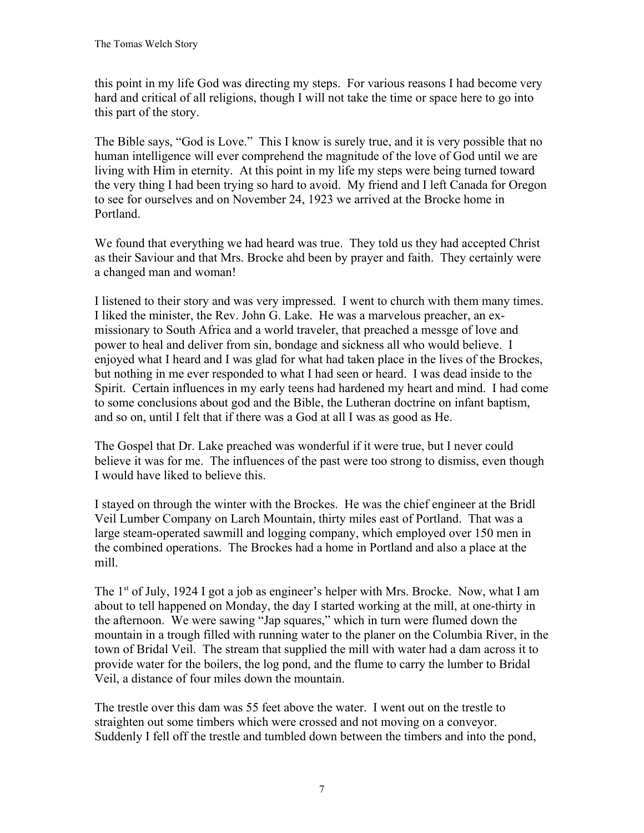this point in my life God was directing my steps. For various reasons I had become very hard and critical of all religions, though I will not take the time or space here to go into this part of the story.

The Bible says, "God is Love." This I know is surely true, and it is very possible that no human intelligence will ever comprehend the magnitude of the love of God until we are living with Him in eternity. At this point in my life my steps were being turned toward the very thing I had been trying so hard to avoid. My friend and I left Canada for Oregon to see for ourselves and on November 24, 1923 we arrived at the Brocke home in Portland.

We found that everything we had heard was true. They told us they had accepted Christ as their Saviour and that Mrs. Brocke ahd been by prayer and faith. They certainly were a changed man and woman!

I listened to their story and was very impressed. I went to church with them many times. I liked the minister, the Rev. John G. Lake. He was a marvelous preacher, an exmissionary to South Africa and a world traveler, that preached a messge of love and power to heal and deliver from sin, bondage and sickness all who would believe. I enjoyed what I heard and I was glad for what had taken place in the lives of the Brockes, but nothing in me ever responded to what I had seen or heard. I was dead inside to the Spirit. Certain influences in my early teens had hardened my heart and mind. I had come to some conclusions about god and the Bible, the Lutheran doctrine on infant baptism, and so on, until I felt that if there was a God at all I was as good as He.

The Gospel that Dr. Lake preached was wonderful if it were true, but I never could believe it was for me. The influences of the past were too strong to dismiss, even though I would have liked to believe this.

I stayed on through the winter with the Brockes. He was the chief engineer at the Bridl Veil Lumber Company on Larch Mountain, thirty miles east of Portland. That was a large steam-operated sawmill and logging company, which employed over 150 men in the combined operations. The Brockes had a home in Portland and also a place at the mill.

The 1<sup>st</sup> of July, 1924 I got a job as engineer's helper with Mrs. Brocke. Now, what I am about to tell happened on Monday, the day I started working at the mill, at one-thirty in the afternoon. We were sawing "Jap squares," which in turn were flumed down the mountain in a trough filled with running water to the planer on the Columbia River, in the town of Bridal Veil. The stream that supplied the mill with water had a dam across it to provide water for the boilers, the log pond, and the flume to carry the lumber to Bridal Veil, a distance of four miles down the mountain.

The trestle over this dam was 55 feet above the water. I went out on the trestle to straighten out some timbers which were crossed and not moving on a conveyor. Suddenly I fell off the trestle and tumbled down between the timbers and into the pond,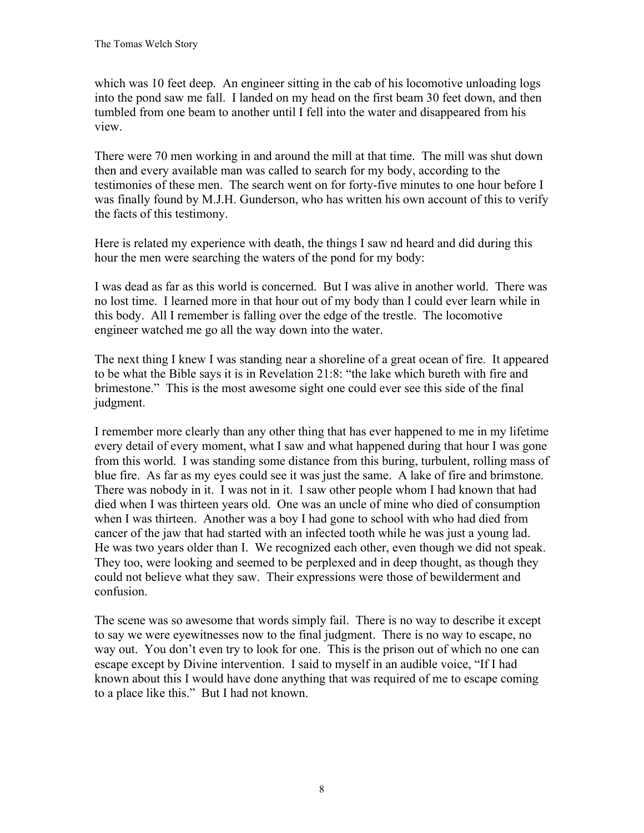which was 10 feet deep. An engineer sitting in the cab of his locomotive unloading logs into the pond saw me fall. I landed on my head on the first beam 30 feet down, and then tumbled from one beam to another until I fell into the water and disappeared from his view.

There were 70 men working in and around the mill at that time. The mill was shut down then and every available man was called to search for my body, according to the testimonies of these men. The search went on for forty-five minutes to one hour before I was finally found by M.J.H. Gunderson, who has written his own account of this to verify the facts of this testimony.

Here is related my experience with death, the things I saw nd heard and did during this hour the men were searching the waters of the pond for my body:

I was dead as far as this world is concerned. But I was alive in another world. There was no lost time. I learned more in that hour out of my body than I could ever learn while in this body. All I remember is falling over the edge of the trestle. The locomotive engineer watched me go all the way down into the water.

The next thing I knew I was standing near a shoreline of a great ocean of fire. It appeared to be what the Bible says it is in Revelation 21:8: "the lake which bureth with fire and brimestone." This is the most awesome sight one could ever see this side of the final judgment.

I remember more clearly than any other thing that has ever happened to me in my lifetime every detail of every moment, what I saw and what happened during that hour I was gone from this world. I was standing some distance from this buring, turbulent, rolling mass of blue fire. As far as my eyes could see it was just the same. A lake of fire and brimstone. There was nobody in it. I was not in it. I saw other people whom I had known that had died when I was thirteen years old. One was an uncle of mine who died of consumption when I was thirteen. Another was a boy I had gone to school with who had died from cancer of the jaw that had started with an infected tooth while he was just a young lad. He was two years older than I. We recognized each other, even though we did not speak. They too, were looking and seemed to be perplexed and in deep thought, as though they could not believe what they saw. Their expressions were those of bewilderment and confusion.

The scene was so awesome that words simply fail. There is no way to describe it except to say we were eyewitnesses now to the final judgment. There is no way to escape, no way out. You don't even try to look for one. This is the prison out of which no one can escape except by Divine intervention. I said to myself in an audible voice, "If I had known about this I would have done anything that was required of me to escape coming to a place like this." But I had not known.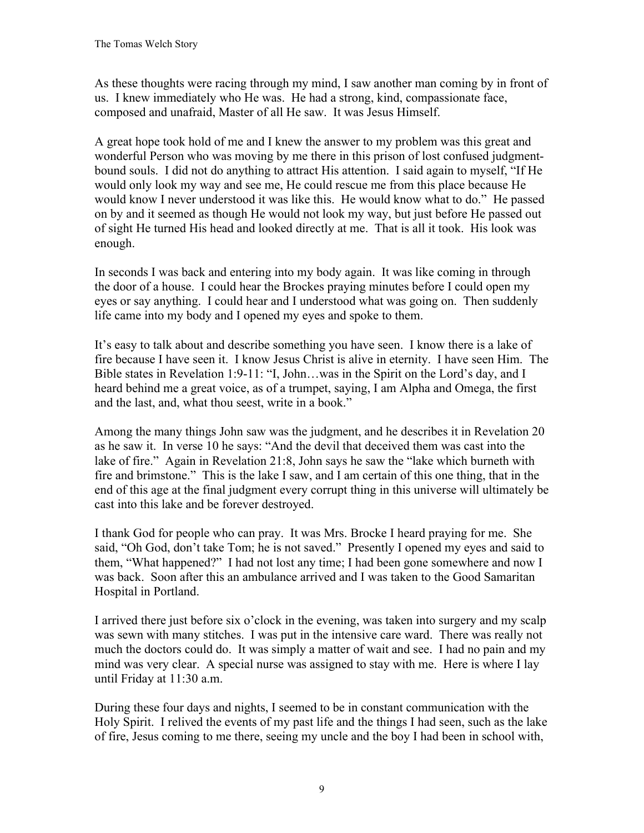As these thoughts were racing through my mind, I saw another man coming by in front of us. I knew immediately who He was. He had a strong, kind, compassionate face, composed and unafraid, Master of all He saw. It was Jesus Himself.

A great hope took hold of me and I knew the answer to my problem was this great and wonderful Person who was moving by me there in this prison of lost confused judgmentbound souls. I did not do anything to attract His attention. I said again to myself, "If He would only look my way and see me, He could rescue me from this place because He would know I never understood it was like this. He would know what to do." He passed on by and it seemed as though He would not look my way, but just before He passed out of sight He turned His head and looked directly at me. That is all it took. His look was enough.

In seconds I was back and entering into my body again. It was like coming in through the door of a house. I could hear the Brockes praying minutes before I could open my eyes or say anything. I could hear and I understood what was going on. Then suddenly life came into my body and I opened my eyes and spoke to them.

It's easy to talk about and describe something you have seen. I know there is a lake of fire because I have seen it. I know Jesus Christ is alive in eternity. I have seen Him. The Bible states in Revelation 1:9-11: "I, John…was in the Spirit on the Lord's day, and I heard behind me a great voice, as of a trumpet, saying, I am Alpha and Omega, the first and the last, and, what thou seest, write in a book."

Among the many things John saw was the judgment, and he describes it in Revelation 20 as he saw it. In verse 10 he says: "And the devil that deceived them was cast into the lake of fire." Again in Revelation 21:8, John says he saw the "lake which burneth with fire and brimstone." This is the lake I saw, and I am certain of this one thing, that in the end of this age at the final judgment every corrupt thing in this universe will ultimately be cast into this lake and be forever destroyed.

I thank God for people who can pray. It was Mrs. Brocke I heard praying for me. She said, "Oh God, don't take Tom; he is not saved." Presently I opened my eyes and said to them, "What happened?" I had not lost any time; I had been gone somewhere and now I was back. Soon after this an ambulance arrived and I was taken to the Good Samaritan Hospital in Portland.

I arrived there just before six o'clock in the evening, was taken into surgery and my scalp was sewn with many stitches. I was put in the intensive care ward. There was really not much the doctors could do. It was simply a matter of wait and see. I had no pain and my mind was very clear. A special nurse was assigned to stay with me. Here is where I lay until Friday at 11:30 a.m.

During these four days and nights, I seemed to be in constant communication with the Holy Spirit. I relived the events of my past life and the things I had seen, such as the lake of fire, Jesus coming to me there, seeing my uncle and the boy I had been in school with,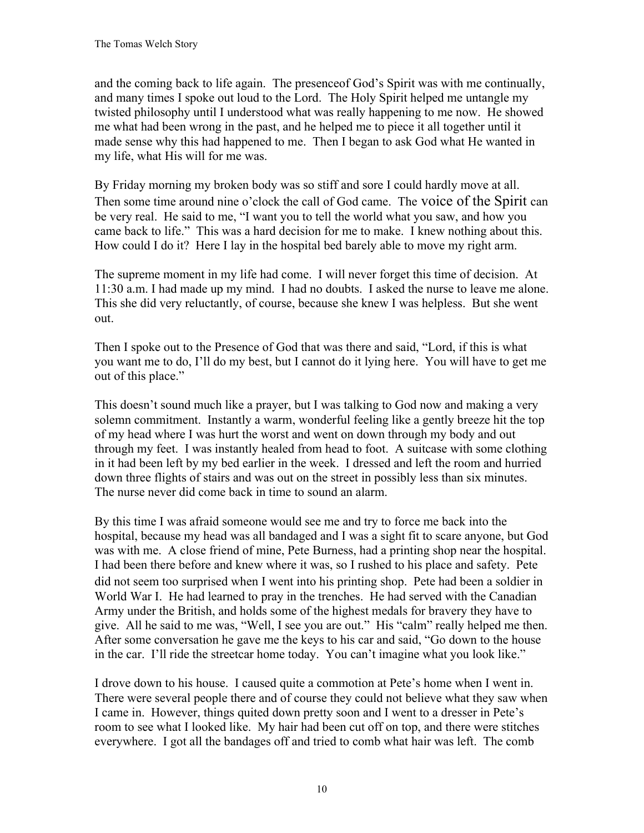and the coming back to life again. The presenceof God's Spirit was with me continually, and many times I spoke out loud to the Lord. The Holy Spirit helped me untangle my twisted philosophy until I understood what was really happening to me now. He showed me what had been wrong in the past, and he helped me to piece it all together until it made sense why this had happened to me. Then I began to ask God what He wanted in my life, what His will for me was.

By Friday morning my broken body was so stiff and sore I could hardly move at all. Then some time around nine o'clock the call of God came. The voice of the Spirit can be very real. He said to me, "I want you to tell the world what you saw, and how you came back to life." This was a hard decision for me to make. I knew nothing about this. How could I do it? Here I lay in the hospital bed barely able to move my right arm.

The supreme moment in my life had come. I will never forget this time of decision. At 11:30 a.m. I had made up my mind. I had no doubts. I asked the nurse to leave me alone. This she did very reluctantly, of course, because she knew I was helpless. But she went out.

Then I spoke out to the Presence of God that was there and said, "Lord, if this is what you want me to do, I'll do my best, but I cannot do it lying here. You will have to get me out of this place."

This doesn't sound much like a prayer, but I was talking to God now and making a very solemn commitment. Instantly a warm, wonderful feeling like a gently breeze hit the top of my head where I was hurt the worst and went on down through my body and out through my feet. I was instantly healed from head to foot. A suitcase with some clothing in it had been left by my bed earlier in the week. I dressed and left the room and hurried down three flights of stairs and was out on the street in possibly less than six minutes. The nurse never did come back in time to sound an alarm.

By this time I was afraid someone would see me and try to force me back into the hospital, because my head was all bandaged and I was a sight fit to scare anyone, but God was with me. A close friend of mine, Pete Burness, had a printing shop near the hospital. I had been there before and knew where it was, so I rushed to his place and safety. Pete did not seem too surprised when I went into his printing shop. Pete had been a soldier in World War I. He had learned to pray in the trenches. He had served with the Canadian Army under the British, and holds some of the highest medals for bravery they have to give. All he said to me was, "Well, I see you are out." His "calm" really helped me then. After some conversation he gave me the keys to his car and said, "Go down to the house in the car. I'll ride the streetcar home today. You can't imagine what you look like."

I drove down to his house. I caused quite a commotion at Pete's home when I went in. There were several people there and of course they could not believe what they saw when I came in. However, things quited down pretty soon and I went to a dresser in Pete's room to see what I looked like. My hair had been cut off on top, and there were stitches everywhere. I got all the bandages off and tried to comb what hair was left. The comb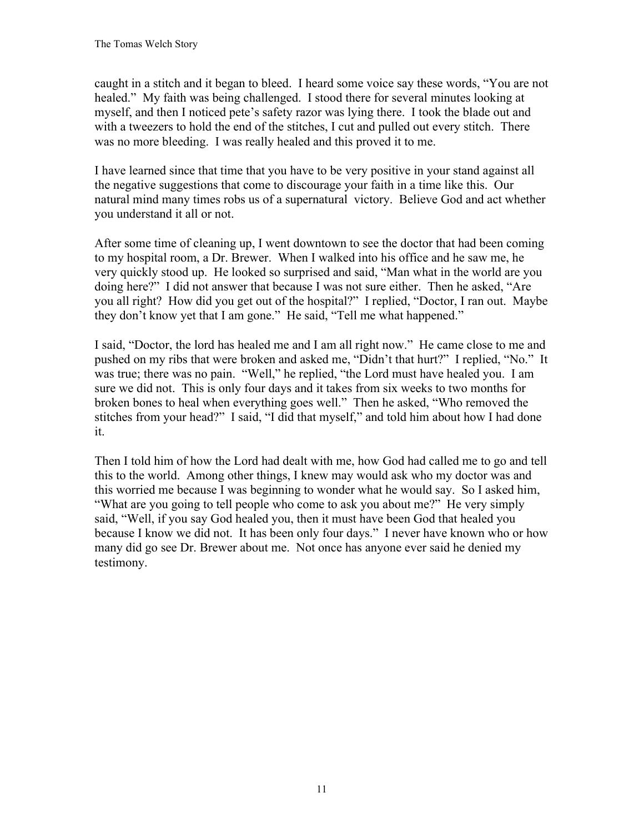caught in a stitch and it began to bleed. I heard some voice say these words, "You are not healed." My faith was being challenged. I stood there for several minutes looking at myself, and then I noticed pete's safety razor was lying there. I took the blade out and with a tweezers to hold the end of the stitches, I cut and pulled out every stitch. There was no more bleeding. I was really healed and this proved it to me.

I have learned since that time that you have to be very positive in your stand against all the negative suggestions that come to discourage your faith in a time like this. Our natural mind many times robs us of a supernatural victory. Believe God and act whether you understand it all or not.

After some time of cleaning up, I went downtown to see the doctor that had been coming to my hospital room, a Dr. Brewer. When I walked into his office and he saw me, he very quickly stood up. He looked so surprised and said, "Man what in the world are you doing here?" I did not answer that because I was not sure either. Then he asked, "Are you all right? How did you get out of the hospital?" I replied, "Doctor, I ran out. Maybe they don't know yet that I am gone." He said, "Tell me what happened."

I said, "Doctor, the lord has healed me and I am all right now." He came close to me and pushed on my ribs that were broken and asked me, "Didn't that hurt?" I replied, "No." It was true; there was no pain. "Well," he replied, "the Lord must have healed you. I am sure we did not. This is only four days and it takes from six weeks to two months for broken bones to heal when everything goes well." Then he asked, "Who removed the stitches from your head?" I said, "I did that myself," and told him about how I had done it.

Then I told him of how the Lord had dealt with me, how God had called me to go and tell this to the world. Among other things, I knew may would ask who my doctor was and this worried me because I was beginning to wonder what he would say. So I asked him, "What are you going to tell people who come to ask you about me?" He very simply said, "Well, if you say God healed you, then it must have been God that healed you because I know we did not. It has been only four days." I never have known who or how many did go see Dr. Brewer about me. Not once has anyone ever said he denied my testimony.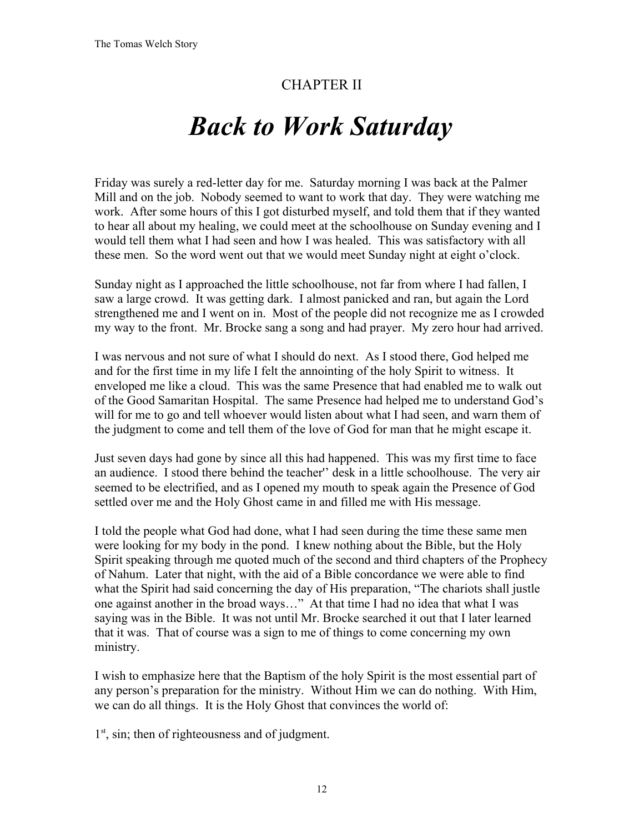### CHAPTER II

## *Back to Work Saturday*

Friday was surely a red-letter day for me. Saturday morning I was back at the Palmer Mill and on the job. Nobody seemed to want to work that day. They were watching me work. After some hours of this I got disturbed myself, and told them that if they wanted to hear all about my healing, we could meet at the schoolhouse on Sunday evening and I would tell them what I had seen and how I was healed. This was satisfactory with all these men. So the word went out that we would meet Sunday night at eight o'clock.

Sunday night as I approached the little schoolhouse, not far from where I had fallen, I saw a large crowd. It was getting dark. I almost panicked and ran, but again the Lord strengthened me and I went on in. Most of the people did not recognize me as I crowded my way to the front. Mr. Brocke sang a song and had prayer. My zero hour had arrived.

I was nervous and not sure of what I should do next. As I stood there, God helped me and for the first time in my life I felt the annointing of the holy Spirit to witness. It enveloped me like a cloud. This was the same Presence that had enabled me to walk out of the Good Samaritan Hospital. The same Presence had helped me to understand God's will for me to go and tell whoever would listen about what I had seen, and warn them of the judgment to come and tell them of the love of God for man that he might escape it.

Just seven days had gone by since all this had happened. This was my first time to face an audience. I stood there behind the teacher'' desk in a little schoolhouse. The very air seemed to be electrified, and as I opened my mouth to speak again the Presence of God settled over me and the Holy Ghost came in and filled me with His message.

I told the people what God had done, what I had seen during the time these same men were looking for my body in the pond. I knew nothing about the Bible, but the Holy Spirit speaking through me quoted much of the second and third chapters of the Prophecy of Nahum. Later that night, with the aid of a Bible concordance we were able to find what the Spirit had said concerning the day of His preparation, "The chariots shall justle one against another in the broad ways…" At that time I had no idea that what I was saying was in the Bible. It was not until Mr. Brocke searched it out that I later learned that it was. That of course was a sign to me of things to come concerning my own ministry.

I wish to emphasize here that the Baptism of the holy Spirit is the most essential part of any person's preparation for the ministry. Without Him we can do nothing. With Him, we can do all things. It is the Holy Ghost that convinces the world of:

1<sup>st</sup>, sin; then of righteousness and of judgment.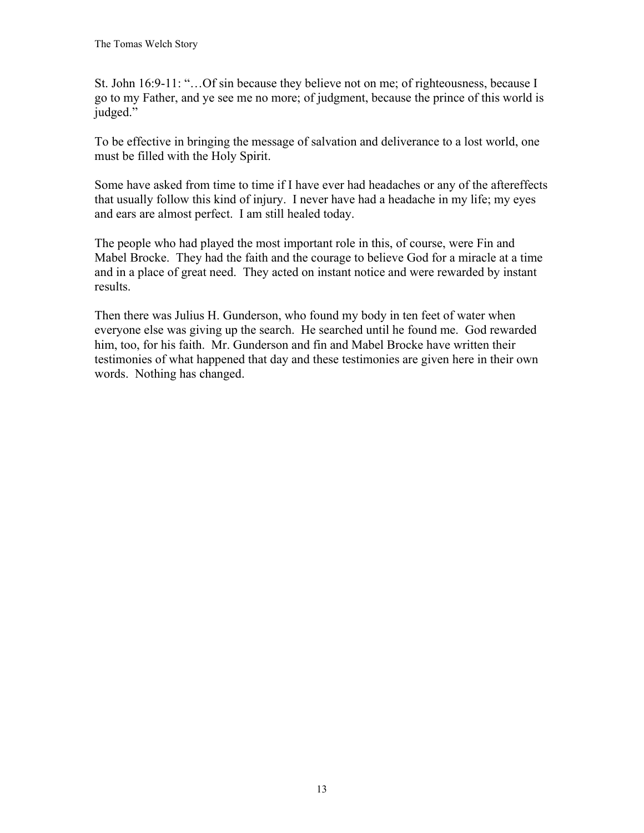St. John 16:9-11: "…Of sin because they believe not on me; of righteousness, because I go to my Father, and ye see me no more; of judgment, because the prince of this world is judged."

To be effective in bringing the message of salvation and deliverance to a lost world, one must be filled with the Holy Spirit.

Some have asked from time to time if I have ever had headaches or any of the aftereffects that usually follow this kind of injury. I never have had a headache in my life; my eyes and ears are almost perfect. I am still healed today.

The people who had played the most important role in this, of course, were Fin and Mabel Brocke. They had the faith and the courage to believe God for a miracle at a time and in a place of great need. They acted on instant notice and were rewarded by instant results.

Then there was Julius H. Gunderson, who found my body in ten feet of water when everyone else was giving up the search. He searched until he found me. God rewarded him, too, for his faith. Mr. Gunderson and fin and Mabel Brocke have written their testimonies of what happened that day and these testimonies are given here in their own words. Nothing has changed.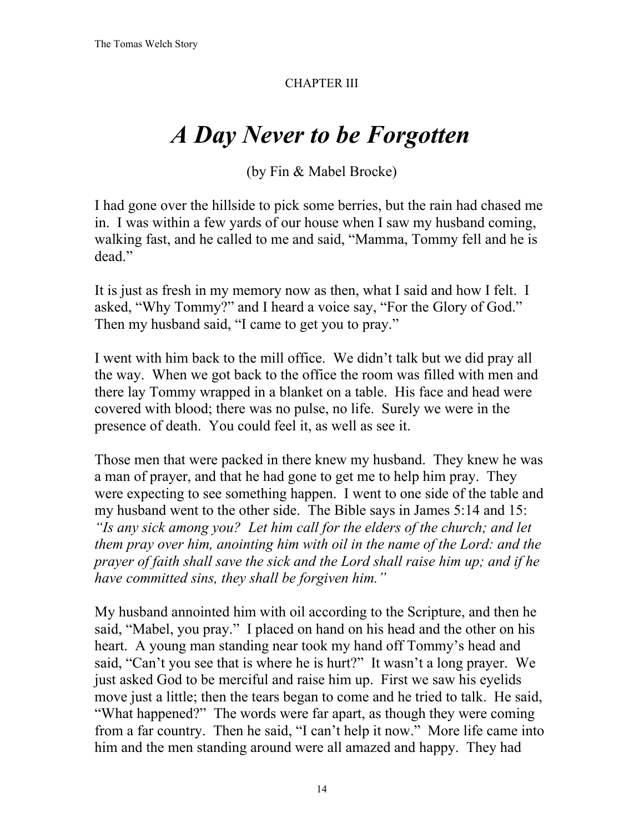### CHAPTER III

### *A Day Never to be Forgotten*

(by Fin & Mabel Brocke)

I had gone over the hillside to pick some berries, but the rain had chased me in. I was within a few yards of our house when I saw my husband coming, walking fast, and he called to me and said, "Mamma, Tommy fell and he is dead."

It is just as fresh in my memory now as then, what I said and how I felt. I asked, "Why Tommy?" and I heard a voice say, "For the Glory of God." Then my husband said, "I came to get you to pray."

I went with him back to the mill office. We didn't talk but we did pray all the way. When we got back to the office the room was filled with men and there lay Tommy wrapped in a blanket on a table. His face and head were covered with blood; there was no pulse, no life. Surely we were in the presence of death. You could feel it, as well as see it.

Those men that were packed in there knew my husband. They knew he was a man of prayer, and that he had gone to get me to help him pray. They were expecting to see something happen. I went to one side of the table and my husband went to the other side. The Bible says in James 5:14 and 15: *"Is any sick among you? Let him call for the elders of the church; and let them pray over him, anointing him with oil in the name of the Lord: and the prayer of faith shall save the sick and the Lord shall raise him up; and if he have committed sins, they shall be forgiven him."*

My husband annointed him with oil according to the Scripture, and then he said, "Mabel, you pray." I placed on hand on his head and the other on his heart. A young man standing near took my hand off Tommy's head and said, "Can't you see that is where he is hurt?" It wasn't a long prayer. We just asked God to be merciful and raise him up. First we saw his eyelids move just a little; then the tears began to come and he tried to talk. He said, "What happened?" The words were far apart, as though they were coming from a far country. Then he said, "I can't help it now." More life came into him and the men standing around were all amazed and happy. They had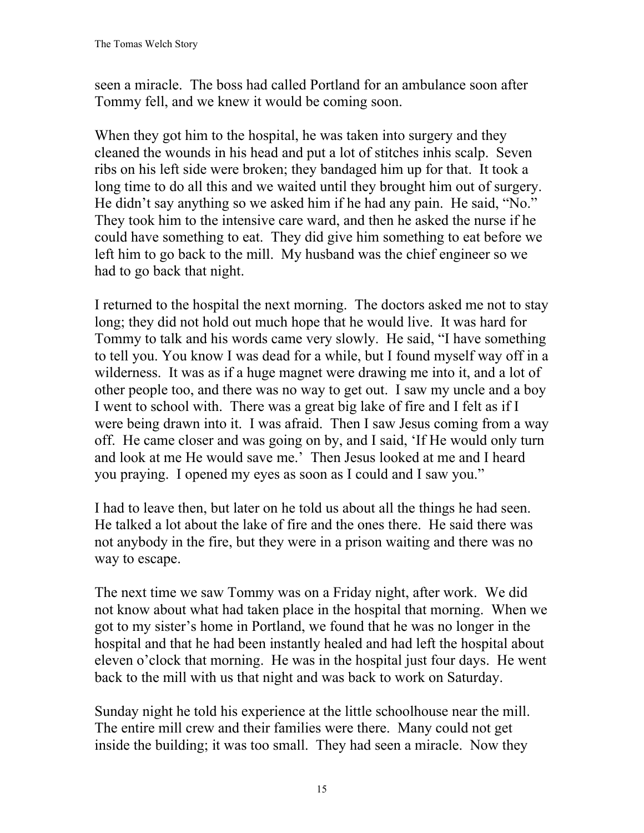seen a miracle. The boss had called Portland for an ambulance soon after Tommy fell, and we knew it would be coming soon.

When they got him to the hospital, he was taken into surgery and they cleaned the wounds in his head and put a lot of stitches inhis scalp. Seven ribs on his left side were broken; they bandaged him up for that. It took a long time to do all this and we waited until they brought him out of surgery. He didn't say anything so we asked him if he had any pain. He said, "No." They took him to the intensive care ward, and then he asked the nurse if he could have something to eat. They did give him something to eat before we left him to go back to the mill. My husband was the chief engineer so we had to go back that night.

I returned to the hospital the next morning. The doctors asked me not to stay long; they did not hold out much hope that he would live. It was hard for Tommy to talk and his words came very slowly. He said, "I have something to tell you. You know I was dead for a while, but I found myself way off in a wilderness. It was as if a huge magnet were drawing me into it, and a lot of other people too, and there was no way to get out. I saw my uncle and a boy I went to school with. There was a great big lake of fire and I felt as if I were being drawn into it. I was afraid. Then I saw Jesus coming from a way off. He came closer and was going on by, and I said, 'If He would only turn and look at me He would save me.' Then Jesus looked at me and I heard you praying. I opened my eyes as soon as I could and I saw you."

I had to leave then, but later on he told us about all the things he had seen. He talked a lot about the lake of fire and the ones there. He said there was not anybody in the fire, but they were in a prison waiting and there was no way to escape.

The next time we saw Tommy was on a Friday night, after work. We did not know about what had taken place in the hospital that morning. When we got to my sister's home in Portland, we found that he was no longer in the hospital and that he had been instantly healed and had left the hospital about eleven o'clock that morning. He was in the hospital just four days. He went back to the mill with us that night and was back to work on Saturday.

Sunday night he told his experience at the little schoolhouse near the mill. The entire mill crew and their families were there. Many could not get inside the building; it was too small. They had seen a miracle. Now they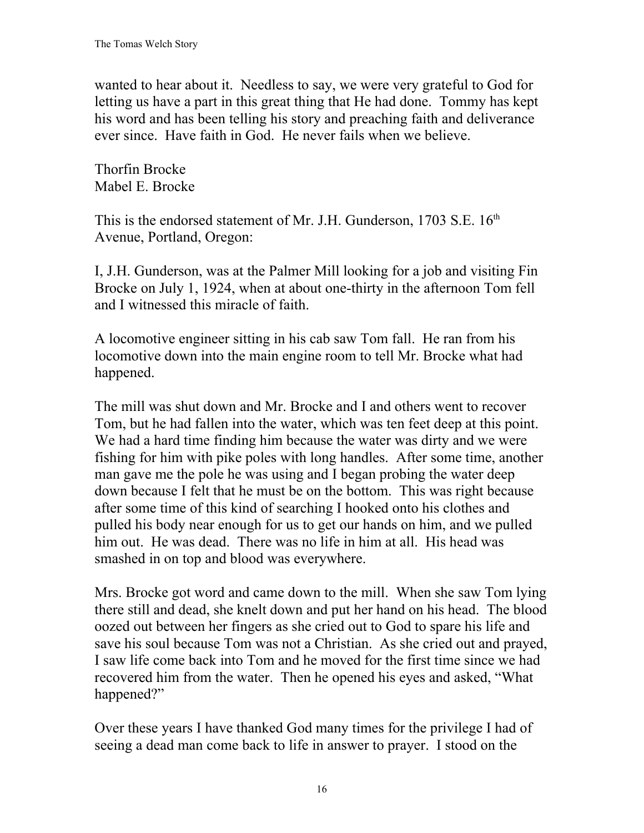wanted to hear about it. Needless to say, we were very grateful to God for letting us have a part in this great thing that He had done. Tommy has kept his word and has been telling his story and preaching faith and deliverance ever since. Have faith in God. He never fails when we believe.

Thorfin Brocke Mabel E. Brocke

This is the endorsed statement of Mr. J.H. Gunderson, 1703 S.E. 16<sup>th</sup> Avenue, Portland, Oregon:

I, J.H. Gunderson, was at the Palmer Mill looking for a job and visiting Fin Brocke on July 1, 1924, when at about one-thirty in the afternoon Tom fell and I witnessed this miracle of faith.

A locomotive engineer sitting in his cab saw Tom fall. He ran from his locomotive down into the main engine room to tell Mr. Brocke what had happened.

The mill was shut down and Mr. Brocke and I and others went to recover Tom, but he had fallen into the water, which was ten feet deep at this point. We had a hard time finding him because the water was dirty and we were fishing for him with pike poles with long handles. After some time, another man gave me the pole he was using and I began probing the water deep down because I felt that he must be on the bottom. This was right because after some time of this kind of searching I hooked onto his clothes and pulled his body near enough for us to get our hands on him, and we pulled him out. He was dead. There was no life in him at all. His head was smashed in on top and blood was everywhere.

Mrs. Brocke got word and came down to the mill. When she saw Tom lying there still and dead, she knelt down and put her hand on his head. The blood oozed out between her fingers as she cried out to God to spare his life and save his soul because Tom was not a Christian. As she cried out and prayed, I saw life come back into Tom and he moved for the first time since we had recovered him from the water. Then he opened his eyes and asked, "What happened?"

Over these years I have thanked God many times for the privilege I had of seeing a dead man come back to life in answer to prayer. I stood on the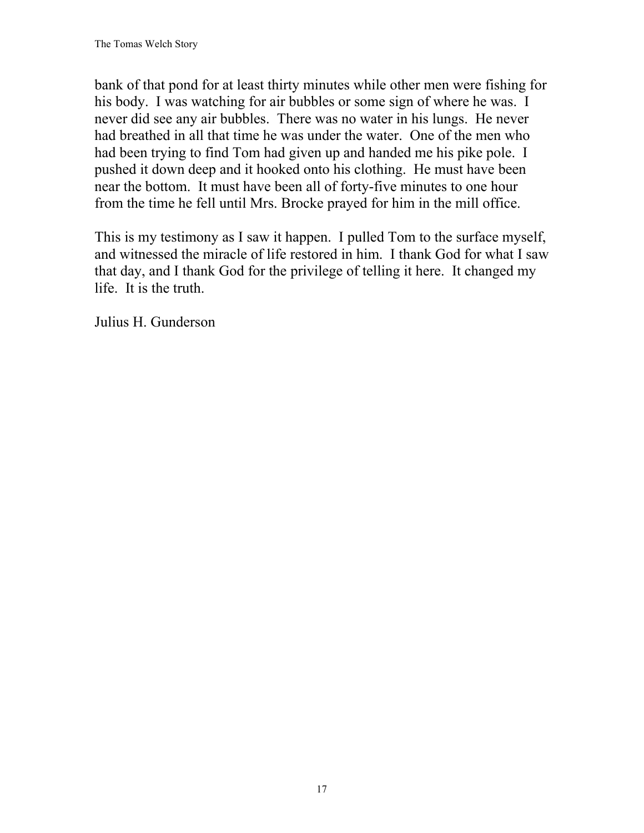bank of that pond for at least thirty minutes while other men were fishing for his body. I was watching for air bubbles or some sign of where he was. I never did see any air bubbles. There was no water in his lungs. He never had breathed in all that time he was under the water. One of the men who had been trying to find Tom had given up and handed me his pike pole. I pushed it down deep and it hooked onto his clothing. He must have been near the bottom. It must have been all of forty-five minutes to one hour from the time he fell until Mrs. Brocke prayed for him in the mill office.

This is my testimony as I saw it happen. I pulled Tom to the surface myself, and witnessed the miracle of life restored in him. I thank God for what I saw that day, and I thank God for the privilege of telling it here. It changed my life. It is the truth.

Julius H. Gunderson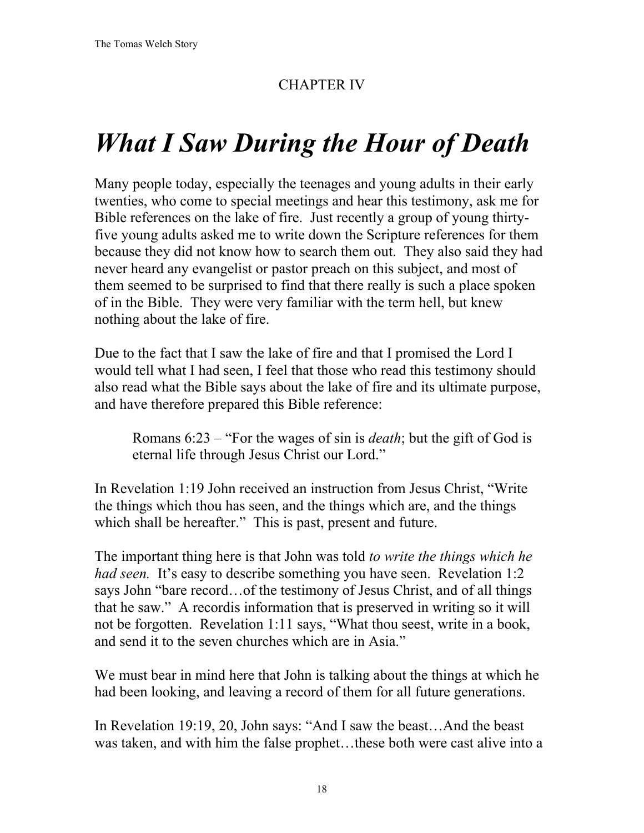### CHAPTER IV

### *What I Saw During the Hour of Death*

Many people today, especially the teenages and young adults in their early twenties, who come to special meetings and hear this testimony, ask me for Bible references on the lake of fire. Just recently a group of young thirtyfive young adults asked me to write down the Scripture references for them because they did not know how to search them out. They also said they had never heard any evangelist or pastor preach on this subject, and most of them seemed to be surprised to find that there really is such a place spoken of in the Bible. They were very familiar with the term hell, but knew nothing about the lake of fire.

Due to the fact that I saw the lake of fire and that I promised the Lord I would tell what I had seen, I feel that those who read this testimony should also read what the Bible says about the lake of fire and its ultimate purpose, and have therefore prepared this Bible reference:

Romans 6:23 – "For the wages of sin is *death*; but the gift of God is eternal life through Jesus Christ our Lord."

In Revelation 1:19 John received an instruction from Jesus Christ, "Write the things which thou has seen, and the things which are, and the things which shall be hereafter." This is past, present and future.

The important thing here is that John was told *to write the things which he had seen.* It's easy to describe something you have seen. Revelation 1:2 says John "bare record…of the testimony of Jesus Christ, and of all things that he saw." A recordis information that is preserved in writing so it will not be forgotten. Revelation 1:11 says, "What thou seest, write in a book, and send it to the seven churches which are in Asia."

We must bear in mind here that John is talking about the things at which he had been looking, and leaving a record of them for all future generations.

In Revelation 19:19, 20, John says: "And I saw the beast…And the beast was taken, and with him the false prophet…these both were cast alive into a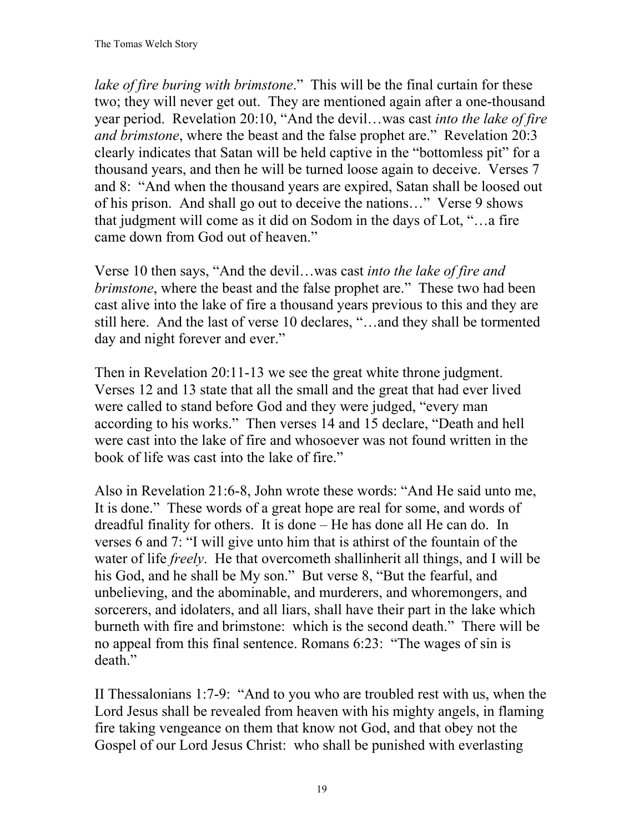*lake of fire buring with brimstone*." This will be the final curtain for these two; they will never get out. They are mentioned again after a one-thousand year period. Revelation 20:10, "And the devil…was cast *into the lake of fire and brimstone*, where the beast and the false prophet are." Revelation 20:3 clearly indicates that Satan will be held captive in the "bottomless pit" for a thousand years, and then he will be turned loose again to deceive. Verses 7 and 8: "And when the thousand years are expired, Satan shall be loosed out of his prison. And shall go out to deceive the nations…" Verse 9 shows that judgment will come as it did on Sodom in the days of Lot, "…a fire came down from God out of heaven."

Verse 10 then says, "And the devil…was cast *into the lake of fire and brimstone*, where the beast and the false prophet are." These two had been cast alive into the lake of fire a thousand years previous to this and they are still here. And the last of verse 10 declares, "…and they shall be tormented day and night forever and ever."

Then in Revelation 20:11-13 we see the great white throne judgment. Verses 12 and 13 state that all the small and the great that had ever lived were called to stand before God and they were judged, "every man according to his works." Then verses 14 and 15 declare, "Death and hell were cast into the lake of fire and whosoever was not found written in the book of life was cast into the lake of fire."

Also in Revelation 21:6-8, John wrote these words: "And He said unto me, It is done." These words of a great hope are real for some, and words of dreadful finality for others. It is done – He has done all He can do. In verses 6 and 7: "I will give unto him that is athirst of the fountain of the water of life *freely*. He that overcometh shallinherit all things, and I will be his God, and he shall be My son." But verse 8, "But the fearful, and unbelieving, and the abominable, and murderers, and whoremongers, and sorcerers, and idolaters, and all liars, shall have their part in the lake which burneth with fire and brimstone: which is the second death." There will be no appeal from this final sentence. Romans 6:23: "The wages of sin is death."

II Thessalonians 1:7-9: "And to you who are troubled rest with us, when the Lord Jesus shall be revealed from heaven with his mighty angels, in flaming fire taking vengeance on them that know not God, and that obey not the Gospel of our Lord Jesus Christ: who shall be punished with everlasting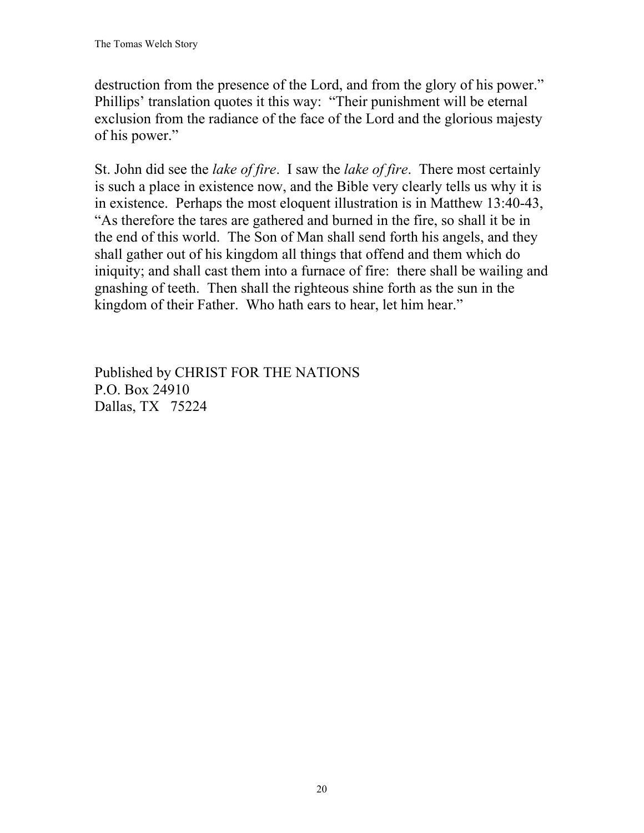destruction from the presence of the Lord, and from the glory of his power." Phillips' translation quotes it this way: "Their punishment will be eternal exclusion from the radiance of the face of the Lord and the glorious majesty of his power."

St. John did see the *lake of fire*. I saw the *lake of fire*. There most certainly is such a place in existence now, and the Bible very clearly tells us why it is in existence. Perhaps the most eloquent illustration is in Matthew 13:40-43, "As therefore the tares are gathered and burned in the fire, so shall it be in the end of this world. The Son of Man shall send forth his angels, and they shall gather out of his kingdom all things that offend and them which do iniquity; and shall cast them into a furnace of fire: there shall be wailing and gnashing of teeth. Then shall the righteous shine forth as the sun in the kingdom of their Father. Who hath ears to hear, let him hear."

Published by CHRIST FOR THE NATIONS P.O. Box 24910 Dallas, TX 75224